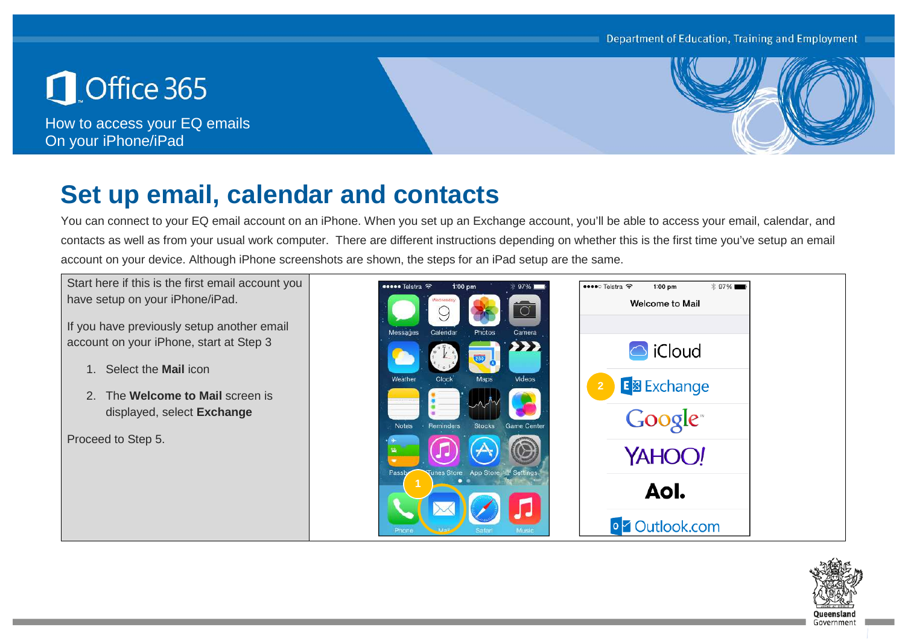

How to access your EQ emails On your iPhone/iPad



## **Set up email, calendar and contacts**

You can connect to your EQ email account on an iPhone. When you set up an Exchange account, you'll be able to access your email, calendar, and contacts as well as from your usual work computer. There are different instructions depending on whether this is the first time you've setup an email account on your device. Although iPhone screenshots are shown, the steps for an iPad setup are the same.

Start here if this is the first email account you have setup on your iPhone/iPad.

If you have previously setup another email account on your iPhone, start at Step 3

- 1. Select the **Mail** icon
- 2. The **Welcome to Mail** screen is displayed, select **Exchange**

Proceed to Step 5.



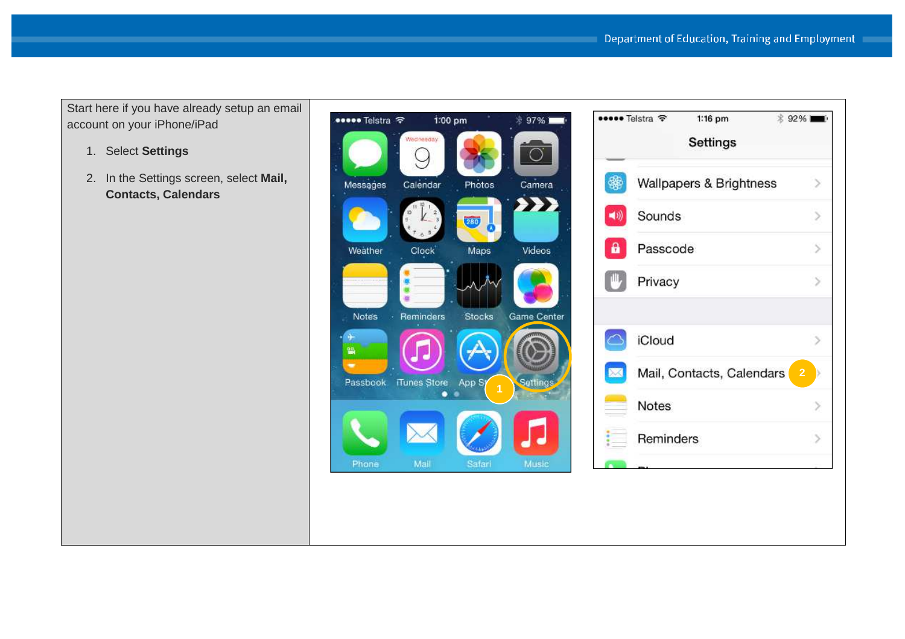Start here if you have already setup an email account on your iPhone/iPad

- 1. Select **Settings**
- 2. In the Settings screen, select **Mail, Contacts, Calendars**



|   | ••• Telstra ক<br>1:16 pm<br>Settings | <b><i><u></u></i></b> 92% ■ |  |
|---|--------------------------------------|-----------------------------|--|
|   | Wallpapers & Brightness              |                             |  |
|   | Sounds                               |                             |  |
| a | Passcode                             | ->                          |  |
|   | Privacy                              |                             |  |
|   | iCloud                               |                             |  |
|   | Mail, Contacts, Calendars            | $\overline{2}$              |  |
|   | <b>Notes</b>                         |                             |  |
|   | Reminders                            |                             |  |
|   |                                      |                             |  |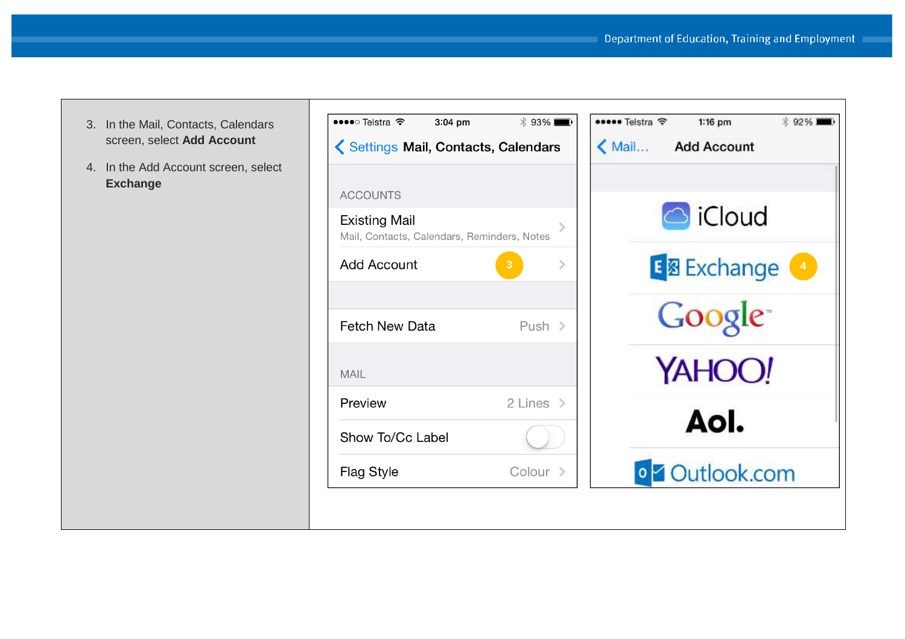- 3. In the Mail, Contacts, Calendars screen, select **Add Account**
- 4. In the Add Account screen, select **Exchange**

| ••••○ Telstra  ক                                                    | $3:04$ pm | $*$ 93%               |  |
|---------------------------------------------------------------------|-----------|-----------------------|--|
| Settings Mail, Contacts, Calendars                                  |           |                       |  |
| <b>ACCOUNTS</b>                                                     |           |                       |  |
| <b>Existing Mail</b><br>Mail, Contacts, Calendars, Reminders, Notes |           |                       |  |
| Add Account                                                         |           | 3                     |  |
|                                                                     |           |                       |  |
| <b>Fetch New Data</b>                                               |           | Push $>$              |  |
| <b>MAIL</b>                                                         |           |                       |  |
| Preview                                                             |           | 2 Lines $\rightarrow$ |  |
| Show To/Cc Label                                                    |           |                       |  |
| <b>Flag Style</b>                                                   |           | Colour >              |  |

| <b> \$93%</b> | * 92%)<br>••••• Telstra ক<br>1:16 pm          |
|---------------|-----------------------------------------------|
| alendars      | Mail Add Account                              |
| rs, Notes     | <b>B</b> iCloud                               |
| $\mathcal{P}$ | <b>E 图 Exchange</b><br>$\left 4\right\rangle$ |
| Push $>$      | Google <sup>-</sup>                           |
|               | YAHOO!                                        |
| 2 Lines $>$   | Aol.                                          |
| Colour        | <b>o Z</b> Outlook.com                        |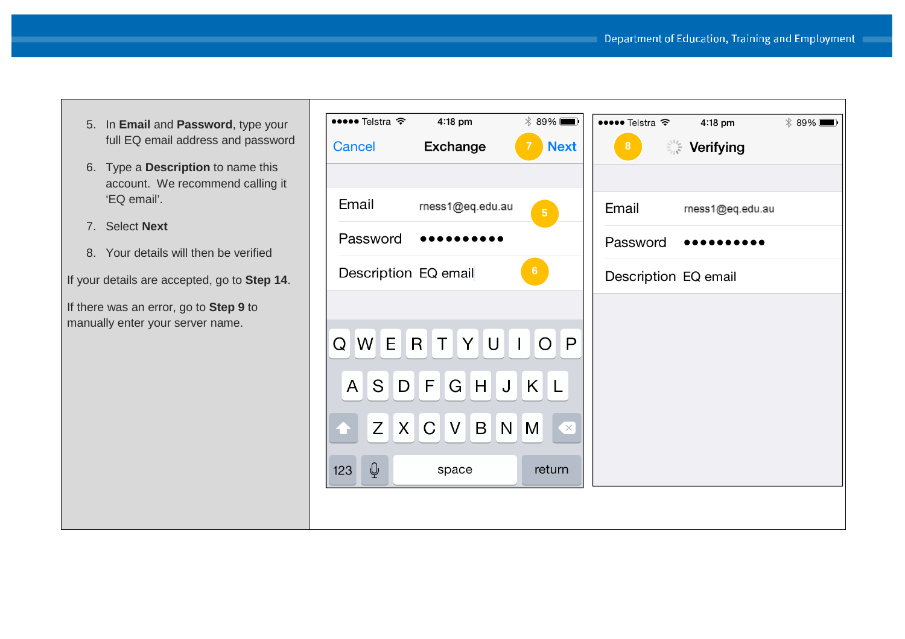- 5. In **Email** and **Password**, type your full EQ email address and password
- 6. Type a **Description** to name this account. We recommend calling it 'EQ email'.
- 7. Select **Next**
- 8. Your details will then be verified

If your details are accepted, go to **Step 14**.

If there was an error, go to **Step 9** to manually enter your server name.

| ••••• Telstra হ                | 4:18 pm          | 89%<br>$\blacksquare$                             | ••••• Telstra হ      | $4:18$ pm        | 89% |
|--------------------------------|------------------|---------------------------------------------------|----------------------|------------------|-----|
| Cancel                         | <b>Exchange</b>  | <b>Next</b>                                       | 8 <sup>°</sup>       | <b>Serifying</b> |     |
|                                |                  |                                                   |                      |                  |     |
| Email                          | rness1@eq.edu.au | $\overline{5}$                                    | Email                | rness1@eq.edu.au |     |
| Password                       |                  |                                                   | Password             |                  |     |
| Description EQ email           |                  | 6 <sup>1</sup>                                    | Description EQ email |                  |     |
|                                |                  |                                                   |                      |                  |     |
| Q                              | WERTYU           | $\overline{O}$<br>$\mathbf{L}$<br>$\vert P \vert$ |                      |                  |     |
|                                |                  |                                                   |                      |                  |     |
|                                | ASDFGHJKL        |                                                   |                      |                  |     |
|                                | Z X C V B N M    | $\mathbf{X}$                                      |                      |                  |     |
|                                |                  |                                                   |                      |                  |     |
| $\overline{\mathbb{Q}}$<br>123 | space            | return                                            |                      |                  |     |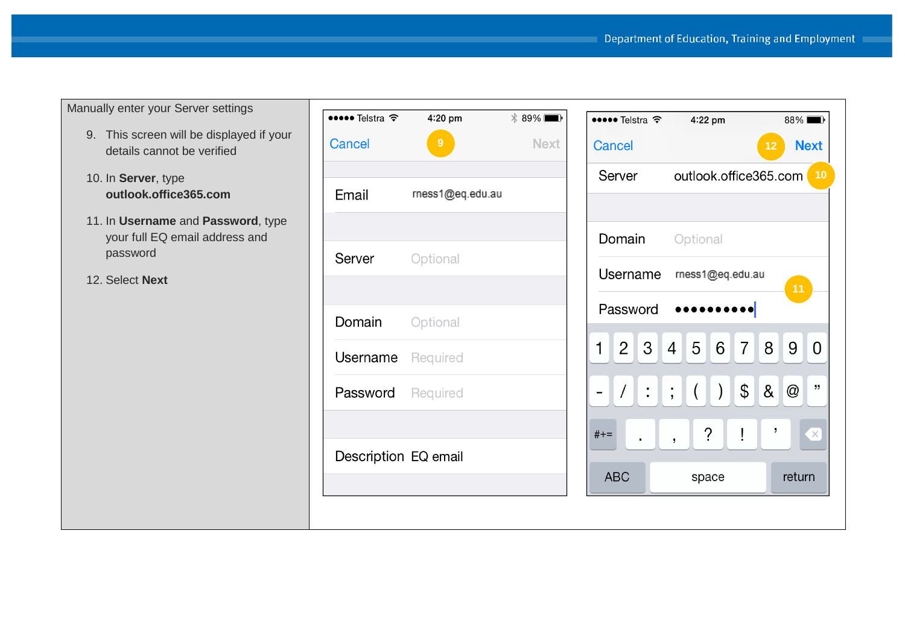Manually enter your Server settings

- 9. This screen will be displayed if your details cannot be verified
- 10. In **Server**, type **outlook.office365.com**
- 11. In **Username** and **Password**, type your full EQ email address and password

12. Select **Next**

| $\bullet \bullet \bullet$ Telstra $\widehat{\bullet}$ 4:20 pm |                  | $* 89\%$    |
|---------------------------------------------------------------|------------------|-------------|
| Cancel                                                        | 9                | <b>Next</b> |
|                                                               |                  |             |
| Email                                                         | rness1@eq.edu.au |             |
|                                                               |                  |             |
| <b>Server</b> Optional                                        |                  |             |
|                                                               |                  |             |
| <b>Domain</b> Optional                                        |                  |             |
| <b>Username</b> Required                                      |                  |             |
| Password Required                                             |                  |             |
|                                                               |                  |             |
| Description EQ email                                          |                  |             |
|                                                               |                  |             |
|                                                               |                  |             |

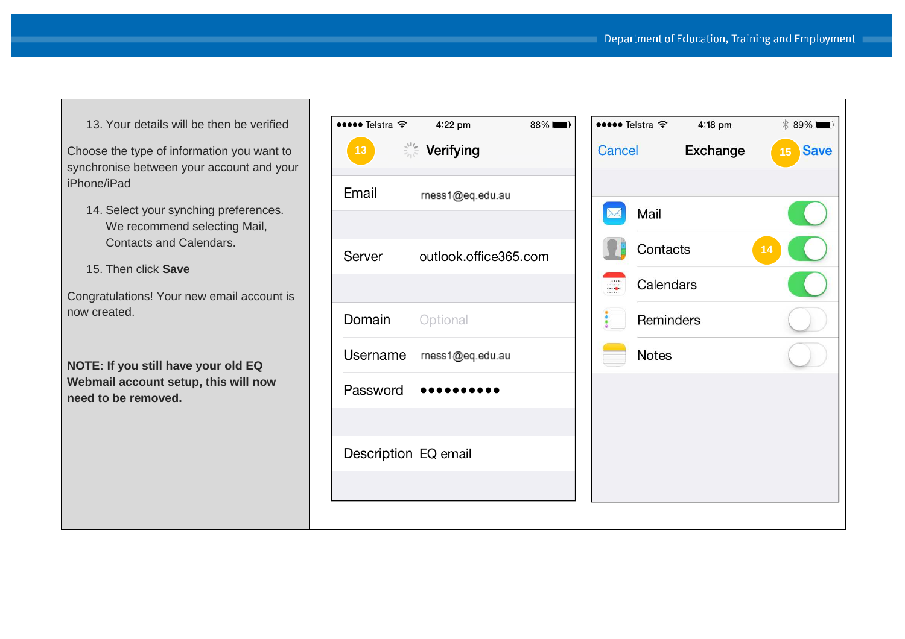13. Your details will be then be verified

Choose the type of information you want to synchronise between your account and your iPhone/iPad

14. Select your synching preferences. We recommend selecting Mail, Contacts and Calendars.

15. Then click **Save**

Congratulations! Your new email account is now created.

**NOTE: If you still have your old EQ Webmail account setup, this will now need to be removed.** 

| ••••• Telstra ক           | 4:22 pm               | 88%    | ••••• Telstra <sup>←</sup> | 4:18 pm         | $* 89\%$          |
|---------------------------|-----------------------|--------|----------------------------|-----------------|-------------------|
| $\frac{2^{11}c}{c}$<br>13 | Verifying             | Cancel |                            | <b>Exchange</b> | <b>Save</b><br>15 |
| Email                     | rness1@eq.edu.au      |        |                            |                 |                   |
|                           |                       |        | Mail                       |                 |                   |
| Server                    | outlook.office365.com |        | Contacts                   |                 | 14                |
|                           |                       |        | Calendars                  |                 |                   |
| Domain                    | Optional              |        | Reminders                  |                 |                   |
| Username                  | rness1@eq.edu.au      |        | <b>Notes</b>               |                 |                   |
| Password                  |                       |        |                            |                 |                   |
|                           |                       |        |                            |                 |                   |
| Description EQ email      |                       |        |                            |                 |                   |
|                           |                       |        |                            |                 |                   |
|                           |                       |        |                            |                 |                   |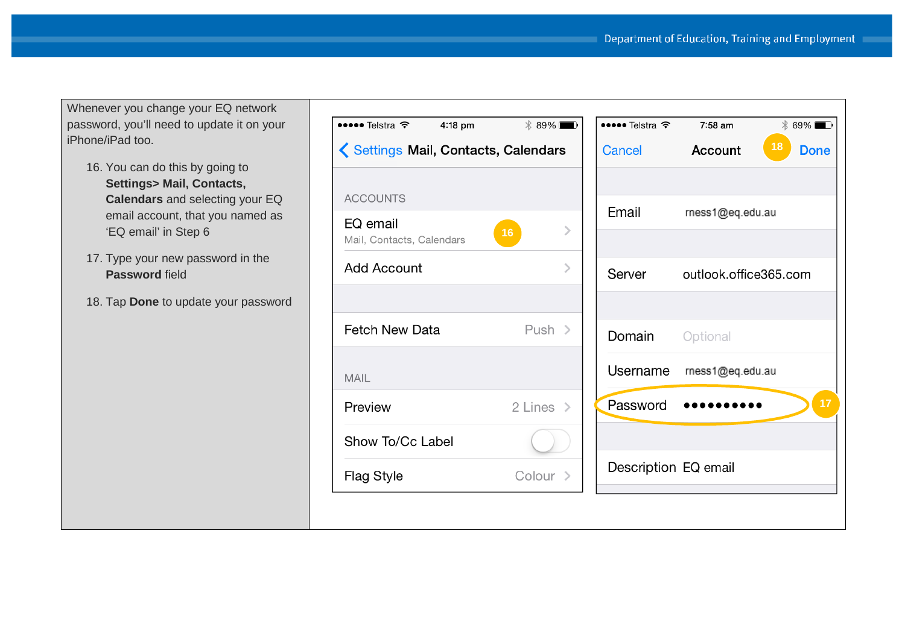Whenever you change your EQ network password, you'll need to update it on your iPhone/iPad too.

- 16. You can do this by going to **Settings> Mail, Contacts, Calendars** and selecting your EQ email account, that you named as 'EQ email' in Step 6
- 17. Type your new password in the **Password** field
- 18. Tap **Done** to update your password

| $\bullet \bullet \bullet$ Telstra $\widehat{\bullet}$ 4:18 pm | $* 89\%$              |
|---------------------------------------------------------------|-----------------------|
| Settings Mail, Contacts, Calendars                            |                       |
|                                                               |                       |
| <b>ACCOUNTS</b>                                               |                       |
| EQ email<br>Mail, Contacts, Calendars                         | 16                    |
| <b>Add Account</b>                                            |                       |
|                                                               |                       |
| <b>Fetch New Data</b>                                         | Push $>$              |
| MAIL                                                          |                       |
| Preview                                                       | 2 Lines $\rightarrow$ |
| Show To/Cc Label                                              |                       |
| Flag Style                                                    | Colour >              |

|                          | $\frac{1}{2}$ 69% |
|--------------------------|-------------------|
| Account                  | 18<br><b>Done</b> |
|                          |                   |
| rness1@eq.edu.au         |                   |
|                          |                   |
| outlook.office365.com    |                   |
|                          |                   |
| <b>Domain</b> Optional   |                   |
| Username mess1@eq.edu.au |                   |
|                          | 17                |
|                          |                   |
| Description EQ email     |                   |
|                          |                   |
|                          |                   |